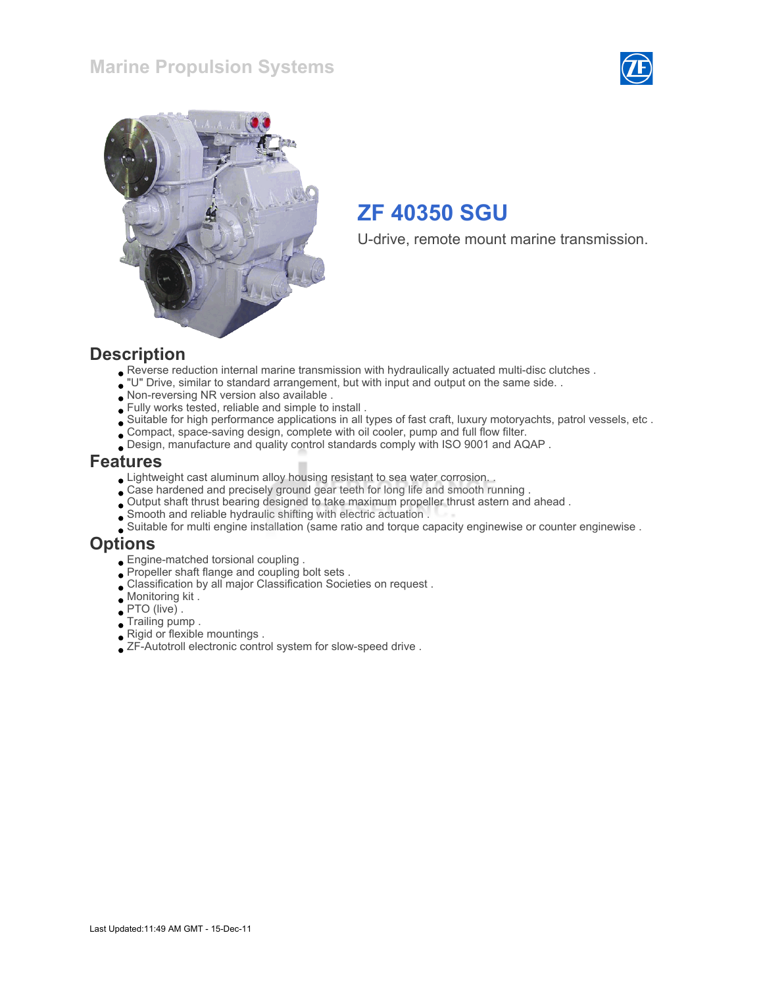



U-drive, remote mount marine transmission.

#### **Description**

- Reverse reduction internal marine transmission with hydraulically actuated multi-disc clutches .
- "U" Drive, similar to standard arrangement, but with input and output on the same side. .
- Non-reversing NR version also available .
- Fully works tested, reliable and simple to install .
- Suitable for high performance applications in all types of fast craft, luxury motoryachts, patrol vessels, etc .
- Compact, space-saving design, complete with oil cooler, pump and full flow filter.
- Design, manufacture and quality control standards comply with ISO 9001 and AQAP .

#### Features

- Lightweight cast aluminum alloy housing resistant to sea water corrosion. .
- Case hardened and precisely ground gear teeth for long life and smooth running .
- Output shaft thrust bearing designed to take maximum propeller thrust astern and ahead .
- Smooth and reliable hydraulic shifting with electric actuation .
- Suitable for multi engine installation (same ratio and torque capacity enginewise or counter enginewise .

#### Options

- Engine-matched torsional coupling .
- Propeller shaft flange and coupling bolt sets .
- Classification by all major Classification Societies on request .
- Monitoring kit .
- PTO (live) .
- Trailing pump .
- Rigid or flexible mountings .
- ZF-Autotroll electronic control system for slow-speed drive .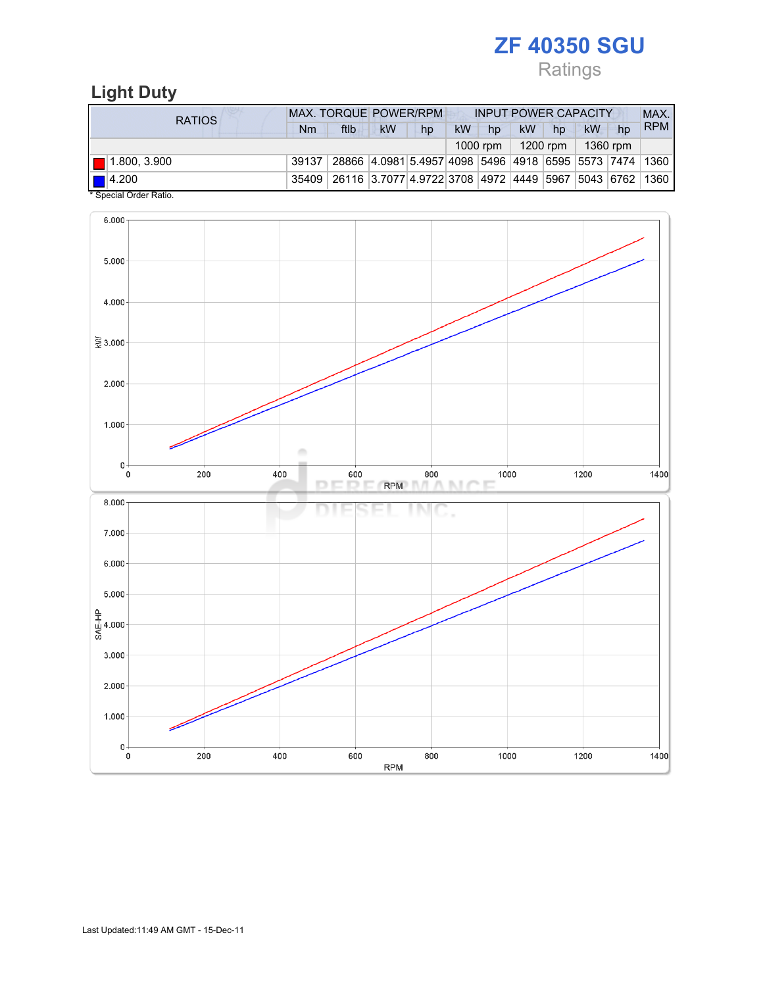Ratings

## Light Duty

| <b>RATIOS</b>                    | <b>MAX. TORQUE POWER/RPM</b> |                                                                                  |           |    | <b>INPUT POWER CAPACITY</b> |          |           |          |            |    | MAX.       |
|----------------------------------|------------------------------|----------------------------------------------------------------------------------|-----------|----|-----------------------------|----------|-----------|----------|------------|----|------------|
|                                  | Nm                           | ftlb                                                                             | <b>kW</b> | hp | <b>kW</b>                   | hp       | <b>kW</b> | hp       | <b>kW</b>  | hp | <b>RPM</b> |
|                                  |                              |                                                                                  |           |    |                             | 1000 rpm |           | 1200 rpm | $1360$ rpm |    |            |
| $  $ 1.800, 3.900                | 39137                        | 28866   4.0981 5.4957 4098   5496   4918   6595   5573   7474   1360             |           |    |                             |          |           |          |            |    |            |
| $\blacksquare$ 4.200<br>$\cdots$ |                              | 35409   26116   3.7077   4.9722   3708   4972   4449   5967   5043   6762   1360 |           |    |                             |          |           |          |            |    |            |

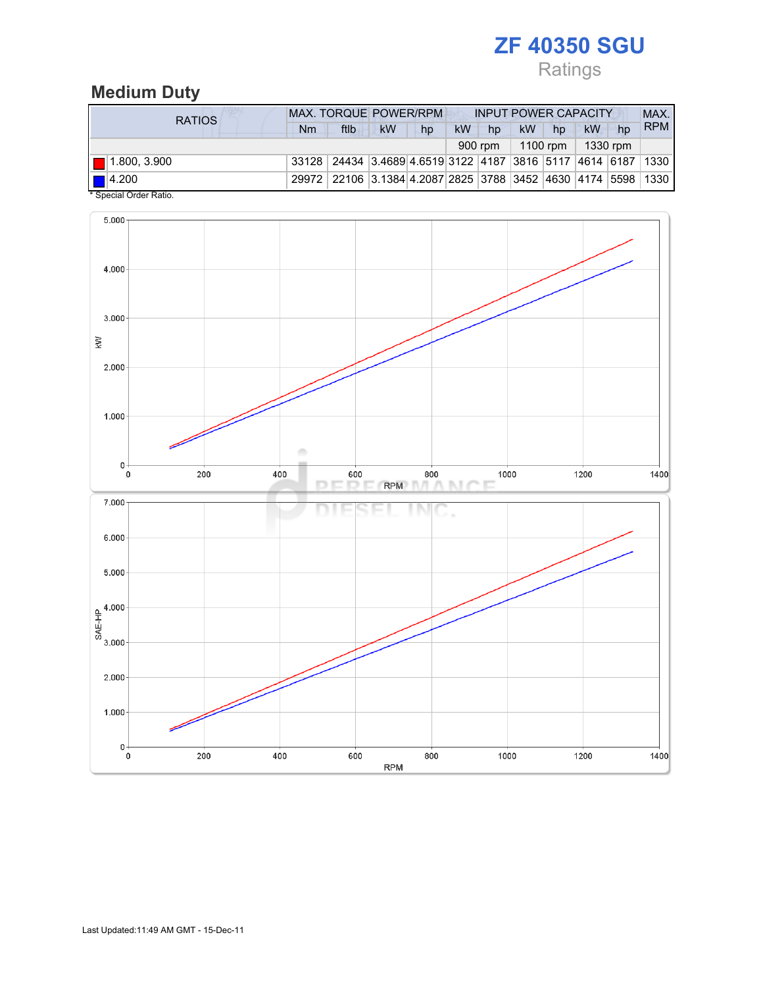Ratings

## Medium Duty

| RATIOS                                           | <b>MAX. TORQUE POWER/RPM</b>                                 |                                                                                  |           |    | <b>INPUT POWER CAPACITY</b> |         |    |                       |    |    | MAX.       |
|--------------------------------------------------|--------------------------------------------------------------|----------------------------------------------------------------------------------|-----------|----|-----------------------------|---------|----|-----------------------|----|----|------------|
|                                                  | Nm                                                           | ftlb                                                                             | <b>kW</b> | hp | <b>kW</b>                   | hp      | kW | hp                    | kW | hp | <b>RPM</b> |
|                                                  |                                                              |                                                                                  |           |    |                             | 900 rpm |    | $1100$ rpm   1330 rpm |    |    |            |
| $\blacksquare$ 1.800, 3.900                      | 33128 24434 3.4689 4.6519 3122 4187 3816 5117 4614 6187 1330 |                                                                                  |           |    |                             |         |    |                       |    |    |            |
| $\blacksquare$ 4.200<br>$\overline{\phantom{a}}$ |                                                              | 29972   22106   3.1384   4.2087   2825   3788   3452   4630   4174   5598   1330 |           |    |                             |         |    |                       |    |    |            |

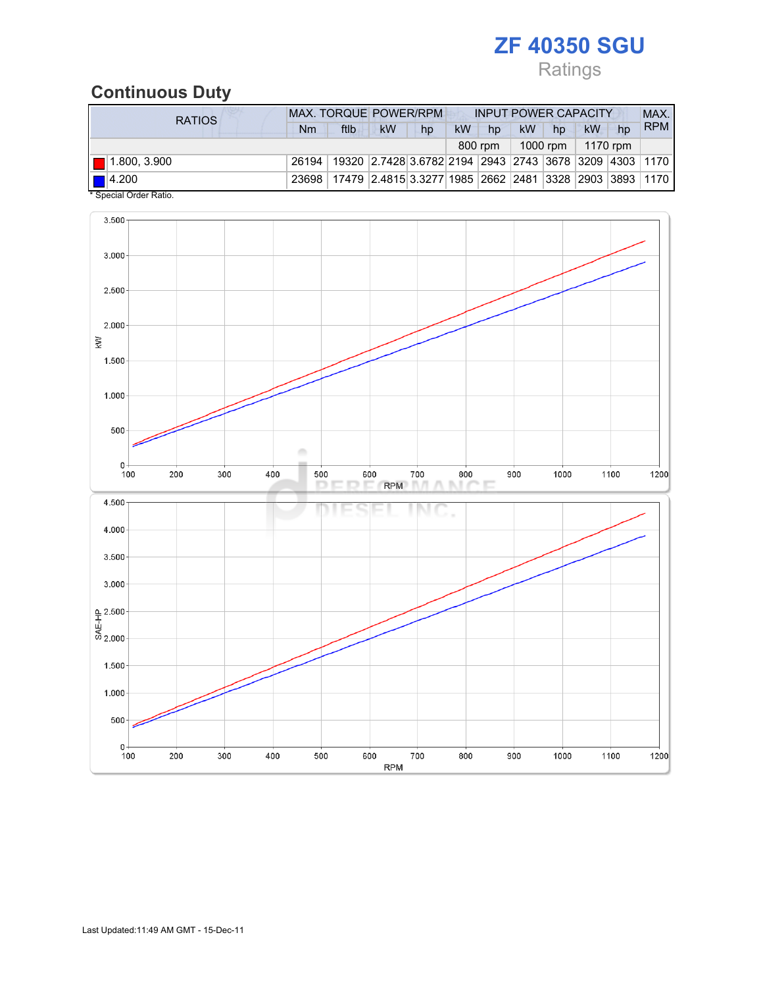## Ratings

### Continuous Duty

| <b>RATIOS</b>                    | <b>MAX. TORQUE POWER/RPM</b>                                                   |                                                                                |    |    |           | <b>INPUT POWER CAPACITY</b> |    |                       |    |    |            |
|----------------------------------|--------------------------------------------------------------------------------|--------------------------------------------------------------------------------|----|----|-----------|-----------------------------|----|-----------------------|----|----|------------|
|                                  | Nm                                                                             | ftlb                                                                           | kW | hp | <b>kW</b> | hp                          | kW | hp                    | kW | hp | <b>RPM</b> |
|                                  |                                                                                |                                                                                |    |    |           | 800 rpm                     |    | $1000$ rpm   1170 rpm |    |    |            |
| $\blacksquare$ 1.800, 3.900      |                                                                                | 26194   19320   2.7428 3.6782   2194   2943   2743   3678   3209   4303   1170 |    |    |           |                             |    |                       |    |    |            |
| $\blacksquare$ 4.200<br>$\cdots$ | 23698   17479   2.4815 3.3277   1985   2662   2481   3328   2903   3893   1170 |                                                                                |    |    |           |                             |    |                       |    |    |            |

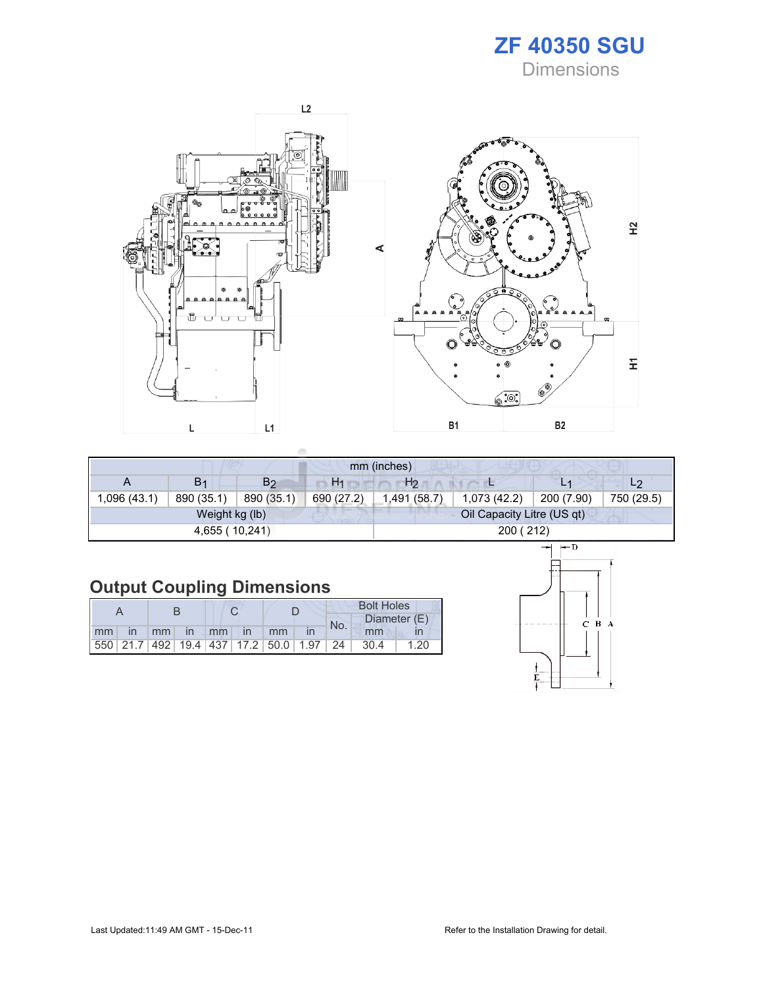



| mm (inches) |                |                |                |                |                            |            |                |  |
|-------------|----------------|----------------|----------------|----------------|----------------------------|------------|----------------|--|
| A           | B <sub>1</sub> | B <sub>2</sub> | H <sub>1</sub> | H <sub>2</sub> |                            | L1         | L <sub>2</sub> |  |
| ,096 (43.1) | 890 (35.1)     | 890 (35.1)     | 690 (27.2)     | 1,491 (58.7)   | 1,073(42.2)                | 200 (7.90) | 750 (29.5)     |  |
|             | Weight kg (lb) |                |                |                | Oil Capacity Litre (US qt) |            |                |  |
|             | 4,655 (10,241) |                |                |                | 200 (212)                  |            |                |  |

# Output Coupling Dimensions

|         |  |  |                |                                                         | <b>Bolt Holes</b> |       |              |  |  |
|---------|--|--|----------------|---------------------------------------------------------|-------------------|-------|--------------|--|--|
|         |  |  |                |                                                         | No.               |       | Diameter (E) |  |  |
| $mm$ in |  |  | mm in mm in mm |                                                         |                   | mm    |              |  |  |
|         |  |  |                | 550   21.7   492   19.4   437   17.2   50.0   1.97   24 |                   | -30.4 | 1.20         |  |  |